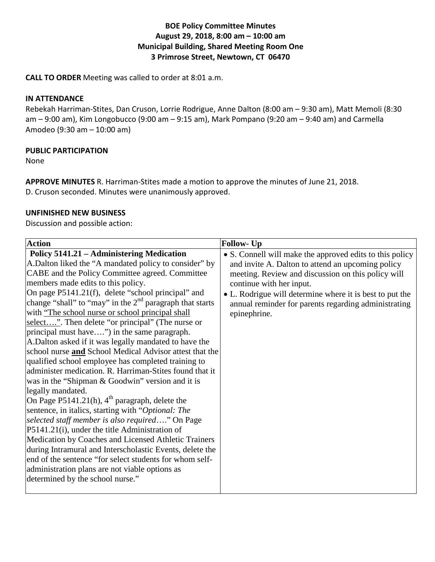### **BOE Policy Committee Minutes August 29, 2018, 8:00 am – 10:00 am Municipal Building, Shared Meeting Room One 3 Primrose Street, Newtown, CT 06470**

**CALL TO ORDER** Meeting was called to order at 8:01 a.m.

### **IN ATTENDANCE**

Rebekah Harriman-Stites, Dan Cruson, Lorrie Rodrigue, Anne Dalton (8:00 am – 9:30 am), Matt Memoli (8:30 am  $-$  9:00 am), Kim Longobucco (9:00 am  $-$  9:15 am), Mark Pompano (9:20 am  $-$  9:40 am) and Carmella Amodeo (9:30 am – 10:00 am)

### **PUBLIC PARTICIPATION**

None

**APPROVE MINUTES** R. Harriman-Stites made a motion to approve the minutes of June 21, 2018. D. Cruson seconded. Minutes were unanimously approved.

### **UNFINISHED NEW BUSINESS**

Discussion and possible action:

| <b>Policy 5141.21 – Administering Medication</b><br>• S. Connell will make the approved edits to this policy<br>A.Dalton liked the "A mandated policy to consider" by<br>and invite A. Dalton to attend an upcoming policy<br>CABE and the Policy Committee agreed. Committee<br>meeting. Review and discussion on this policy will<br>members made edits to this policy.<br>continue with her input.<br>On page P5141.21(f), delete "school principal" and<br>• L. Rodrigue will determine where it is best to put the<br>change "shall" to "may" in the $2nd$ paragraph that starts<br>annual reminder for parents regarding administrating<br>with "The school nurse or school principal shall"<br>epinephrine.                                                                                                                                                                                         |
|------------------------------------------------------------------------------------------------------------------------------------------------------------------------------------------------------------------------------------------------------------------------------------------------------------------------------------------------------------------------------------------------------------------------------------------------------------------------------------------------------------------------------------------------------------------------------------------------------------------------------------------------------------------------------------------------------------------------------------------------------------------------------------------------------------------------------------------------------------------------------------------------------------|
| select". Then delete "or principal" (The nurse or<br>principal must have") in the same paragraph.<br>A.Dalton asked if it was legally mandated to have the<br>school nurse and School Medical Advisor attest that the<br>qualified school employee has completed training to<br>administer medication. R. Harriman-Stites found that it<br>was in the "Shipman & Goodwin" version and it is<br>legally mandated.<br>On Page P5141.21(h), $4^{th}$ paragraph, delete the<br>sentence, in italics, starting with "Optional: The<br>selected staff member is also required" On Page<br>$P5141.21(i)$ , under the title Administration of<br>Medication by Coaches and Licensed Athletic Trainers<br>during Intramural and Interscholastic Events, delete the<br>end of the sentence "for select students for whom self-<br>administration plans are not viable options as<br>determined by the school nurse." |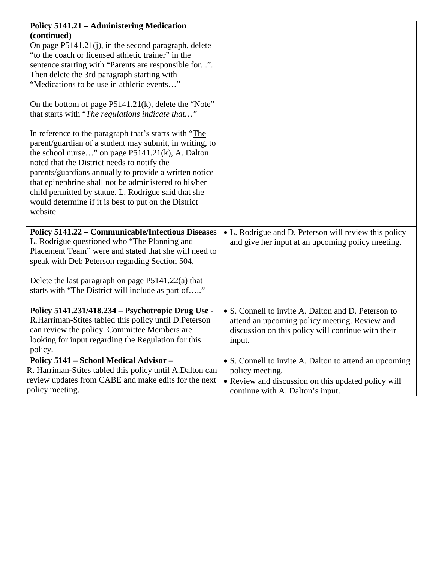| <b>Policy 5141.21 - Administering Medication</b>          |                                                        |
|-----------------------------------------------------------|--------------------------------------------------------|
|                                                           |                                                        |
| (continued)                                               |                                                        |
| On page P5141.21(j), in the second paragraph, delete      |                                                        |
| "to the coach or licensed athletic trainer" in the        |                                                        |
| sentence starting with "Parents are responsible for".     |                                                        |
| Then delete the 3rd paragraph starting with               |                                                        |
| "Medications to be use in athletic events"                |                                                        |
| On the bottom of page P5141.21(k), delete the "Note"      |                                                        |
| that starts with " <i>The regulations indicate that</i> " |                                                        |
|                                                           |                                                        |
| In reference to the paragraph that's starts with "The     |                                                        |
| parent/guardian of a student may submit, in writing, to   |                                                        |
| the school nurse" on page P5141.21(k), A. Dalton          |                                                        |
| noted that the District needs to notify the               |                                                        |
| parents/guardians annually to provide a written notice    |                                                        |
| that epinephrine shall not be administered to his/her     |                                                        |
| child permitted by statue. L. Rodrigue said that she      |                                                        |
| would determine if it is best to put on the District      |                                                        |
| website.                                                  |                                                        |
|                                                           |                                                        |
| <b>Policy 5141.22 - Communicable/Infectious Diseases</b>  | • L. Rodrigue and D. Peterson will review this policy  |
| L. Rodrigue questioned who "The Planning and              | and give her input at an upcoming policy meeting.      |
| Placement Team" were and stated that she will need to     |                                                        |
| speak with Deb Peterson regarding Section 504.            |                                                        |
| Delete the last paragraph on page $P5141.22(a)$ that      |                                                        |
| starts with "The District will include as part of"        |                                                        |
|                                                           |                                                        |
| Policy 5141.231/418.234 – Psychotropic Drug Use -         | • S. Connell to invite A. Dalton and D. Peterson to    |
| R.Harriman-Stites tabled this policy until D.Peterson     | attend an upcoming policy meeting. Review and          |
| can review the policy. Committee Members are              | discussion on this policy will continue with their     |
| looking for input regarding the Regulation for this       | input.                                                 |
| policy.                                                   |                                                        |
| Policy 5141 - School Medical Advisor -                    | • S. Connell to invite A. Dalton to attend an upcoming |
| R. Harriman-Stites tabled this policy until A.Dalton can  | policy meeting.                                        |
| review updates from CABE and make edits for the next      | • Review and discussion on this updated policy will    |
| policy meeting.                                           | continue with A. Dalton's input.                       |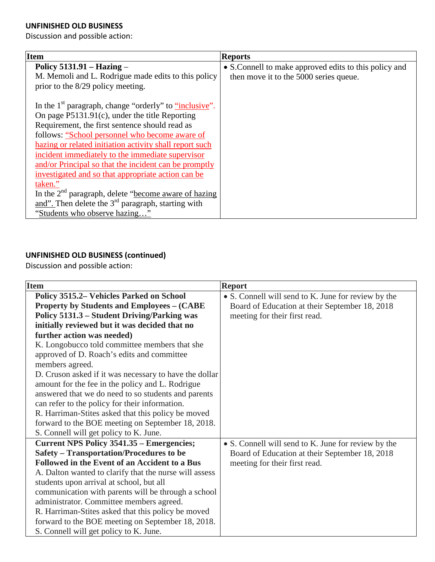## **UNFINISHED OLD BUSINESS**

Discussion and possible action:

| <b>Item</b>                                                                              | <b>Reports</b>                                         |
|------------------------------------------------------------------------------------------|--------------------------------------------------------|
| Policy $5131.91 - Hazing -$                                                              | • S. Connell to make approved edits to this policy and |
| M. Memoli and L. Rodrigue made edits to this policy<br>prior to the 8/29 policy meeting. | then move it to the 5000 series queue.                 |
| In the 1 <sup>st</sup> paragraph, change "orderly" to "inclusive".                       |                                                        |
| On page $P5131.91(c)$ , under the title Reporting                                        |                                                        |
| Requirement, the first sentence should read as                                           |                                                        |
| follows: "School personnel who become aware of                                           |                                                        |
| hazing or related initiation activity shall report such                                  |                                                        |
| incident immediately to the immediate supervisor                                         |                                                        |
| and/or Principal so that the incident can be promptly                                    |                                                        |
| investigated and so that appropriate action can be                                       |                                                        |
| taken."                                                                                  |                                                        |
| In the 2 <sup>nd</sup> paragraph, delete "become aware of hazing                         |                                                        |
| and". Then delete the $3rd$ paragraph, starting with                                     |                                                        |
| "Students who observe hazing"                                                            |                                                        |

# **UNFINISHED OLD BUSINESS (continued)**

Discussion and possible action:

| <b>Item</b>                                            | <b>Report</b>                                       |
|--------------------------------------------------------|-----------------------------------------------------|
| Policy 3515.2 Vehicles Parked on School                | • S. Connell will send to K. June for review by the |
| <b>Property by Students and Employees – (CABE)</b>     | Board of Education at their September 18, 2018      |
| Policy 5131.3 – Student Driving/Parking was            | meeting for their first read.                       |
| initially reviewed but it was decided that no          |                                                     |
| further action was needed)                             |                                                     |
| K. Longobucco told committee members that she          |                                                     |
| approved of D. Roach's edits and committee             |                                                     |
| members agreed.                                        |                                                     |
| D. Cruson asked if it was necessary to have the dollar |                                                     |
| amount for the fee in the policy and L. Rodrigue       |                                                     |
| answered that we do need to so students and parents    |                                                     |
| can refer to the policy for their information.         |                                                     |
| R. Harriman-Stites asked that this policy be moved     |                                                     |
| forward to the BOE meeting on September 18, 2018.      |                                                     |
| S. Connell will get policy to K. June.                 |                                                     |
| <b>Current NPS Policy 3541.35 – Emergencies;</b>       | • S. Connell will send to K. June for review by the |
| <b>Safety – Transportation/Procedures to be</b>        | Board of Education at their September 18, 2018      |
| Followed in the Event of an Accident to a Bus          | meeting for their first read.                       |
| A. Dalton wanted to clarify that the nurse will assess |                                                     |
| students upon arrival at school, but all               |                                                     |
| communication with parents will be through a school    |                                                     |
| administrator. Committee members agreed.               |                                                     |
| R. Harriman-Stites asked that this policy be moved     |                                                     |
| forward to the BOE meeting on September 18, 2018.      |                                                     |
| S. Connell will get policy to K. June.                 |                                                     |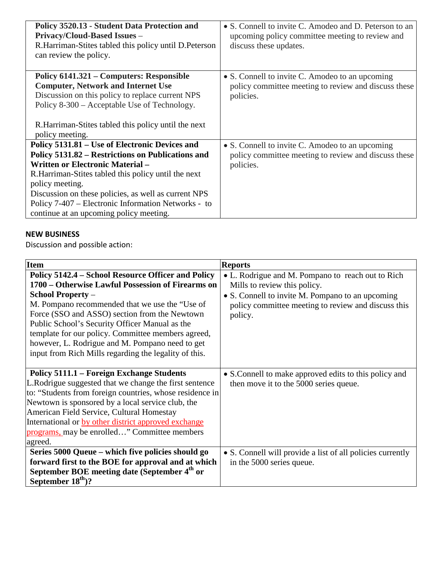| Policy 3520.13 - Student Data Protection and<br><b>Privacy/Cloud-Based Issues -</b><br>R.Harriman-Stites tabled this policy until D.Peterson<br>can review the policy.                                                                                                                                                                                                              | • S. Connell to invite C. Amodeo and D. Peterson to an<br>upcoming policy committee meeting to review and<br>discuss these updates. |
|-------------------------------------------------------------------------------------------------------------------------------------------------------------------------------------------------------------------------------------------------------------------------------------------------------------------------------------------------------------------------------------|-------------------------------------------------------------------------------------------------------------------------------------|
| Policy 6141.321 – Computers: Responsible<br><b>Computer, Network and Internet Use</b><br>Discussion on this policy to replace current NPS<br>Policy 8-300 – Acceptable Use of Technology.<br>R. Harriman-Stites tabled this policy until the next<br>policy meeting.                                                                                                                | • S. Connell to invite C. Amodeo to an upcoming<br>policy committee meeting to review and discuss these<br>policies.                |
| Policy 5131.81 – Use of Electronic Devices and<br>Policy 5131.82 – Restrictions on Publications and<br><b>Written or Electronic Material -</b><br>R. Harriman-Stites tabled this policy until the next<br>policy meeting.<br>Discussion on these policies, as well as current NPS<br>Policy 7-407 – Electronic Information Networks - to<br>continue at an upcoming policy meeting. | • S. Connell to invite C. Amodeo to an upcoming<br>policy committee meeting to review and discuss these<br>policies.                |

## **NEW BUSINESS**

Discussion and possible action:

| <b>Item</b>                                                                                                                                                                                                                                                                                                                                                                                                                                                | <b>Reports</b>                                                                                                                                                                                          |
|------------------------------------------------------------------------------------------------------------------------------------------------------------------------------------------------------------------------------------------------------------------------------------------------------------------------------------------------------------------------------------------------------------------------------------------------------------|---------------------------------------------------------------------------------------------------------------------------------------------------------------------------------------------------------|
| Policy 5142.4 – School Resource Officer and Policy<br>1700 – Otherwise Lawful Possession of Firearms on<br><b>School Property –</b><br>M. Pompano recommended that we use the "Use of<br>Force (SSO and ASSO) section from the Newtown<br>Public School's Security Officer Manual as the<br>template for our policy. Committee members agreed,<br>however, L. Rodrigue and M. Pompano need to get<br>input from Rich Mills regarding the legality of this. | • L. Rodrigue and M. Pompano to reach out to Rich<br>Mills to review this policy.<br>• S. Connell to invite M. Pompano to an upcoming<br>policy committee meeting to review and discuss this<br>policy. |
| Policy 5111.1 – Foreign Exchange Students<br>L.Rodrigue suggested that we change the first sentence<br>to: "Students from foreign countries, whose residence in<br>Newtown is sponsored by a local service club, the<br>American Field Service, Cultural Homestay<br>International or by other district approved exchange<br>programs, may be enrolled" Committee members<br>agreed.                                                                       | • S. Connell to make approved edits to this policy and<br>then move it to the 5000 series queue.                                                                                                        |
| Series 5000 Queue – which five policies should go<br>forward first to the BOE for approval and at which<br>September BOE meeting date (September 4 <sup>th</sup> or<br>September $18th$ ?                                                                                                                                                                                                                                                                  | • S. Connell will provide a list of all policies currently<br>in the 5000 series queue.                                                                                                                 |